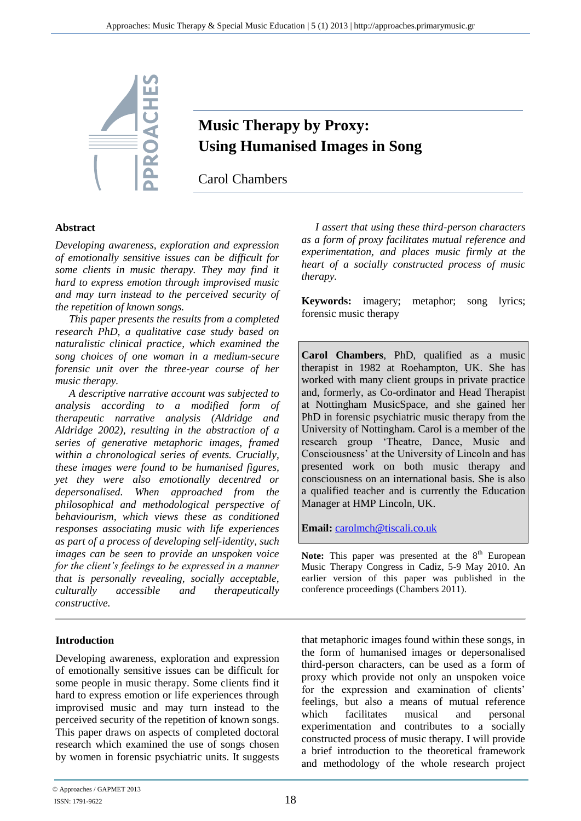

# **Music Therapy by Proxy: Using Humanised Images in Song**

Carol Chambers

### **Abstract**

*Developing awareness, exploration and expression of emotionally sensitive issues can be difficult for some clients in music therapy. They may find it hard to express emotion through improvised music and may turn instead to the perceived security of the repetition of known songs.*

*This paper presents the results from a completed research PhD, a qualitative case study based on naturalistic clinical practice, which examined the song choices of one woman in a medium-secure forensic unit over the three-year course of her music therapy.*

*A descriptive narrative account was subjected to analysis according to a modified form of therapeutic narrative analysis (Aldridge and Aldridge 2002), resulting in the abstraction of a series of generative metaphoric images, framed within a chronological series of events. Crucially, these images were found to be humanised figures, yet they were also emotionally decentred or depersonalised. When approached from the philosophical and methodological perspective of behaviourism, which views these as conditioned responses associating music with life experiences as part of a process of developing self-identity, such images can be seen to provide an unspoken voice for the client's feelings to be expressed in a manner that is personally revealing, socially acceptable, culturally accessible and therapeutically constructive.*

#### **Introduction**

Developing awareness, exploration and expression of emotionally sensitive issues can be difficult for some people in music therapy. Some clients find it hard to express emotion or life experiences through improvised music and may turn instead to the perceived security of the repetition of known songs. This paper draws on aspects of completed doctoral research which examined the use of songs chosen by women in forensic psychiatric units. It suggests

*I assert that using these third-person characters as a form of proxy facilitates mutual reference and experimentation, and places music firmly at the heart of a socially constructed process of music therapy.*

**Keywords:** imagery; metaphor; song lyrics; forensic music therapy

**Carol Chambers**, PhD, qualified as a music therapist in 1982 at Roehampton, UK. She has worked with many client groups in private practice and, formerly, as Co-ordinator and Head Therapist at Nottingham MusicSpace, and she gained her PhD in forensic psychiatric music therapy from the University of Nottingham. Carol is a member of the research group 'Theatre, Dance, Music and Consciousness' at the University of Lincoln and has presented work on both music therapy and consciousness on an international basis. She is also a qualified teacher and is currently the Education Manager at HMP Lincoln, UK.

**Email:** [carolmch@tiscali.co.uk](mailto:carolmch@tiscali.co.uk)

Note: This paper was presented at the 8<sup>th</sup> European Music Therapy Congress in Cadiz, 5-9 May 2010. An earlier version of this paper was published in the conference proceedings (Chambers 2011).

that metaphoric images found within these songs, in the form of humanised images or depersonalised third-person characters, can be used as a form of proxy which provide not only an unspoken voice for the expression and examination of clients' feelings, but also a means of mutual reference which facilitates musical and personal experimentation and contributes to a socially constructed process of music therapy. I will provide a brief introduction to the theoretical framework and methodology of the whole research project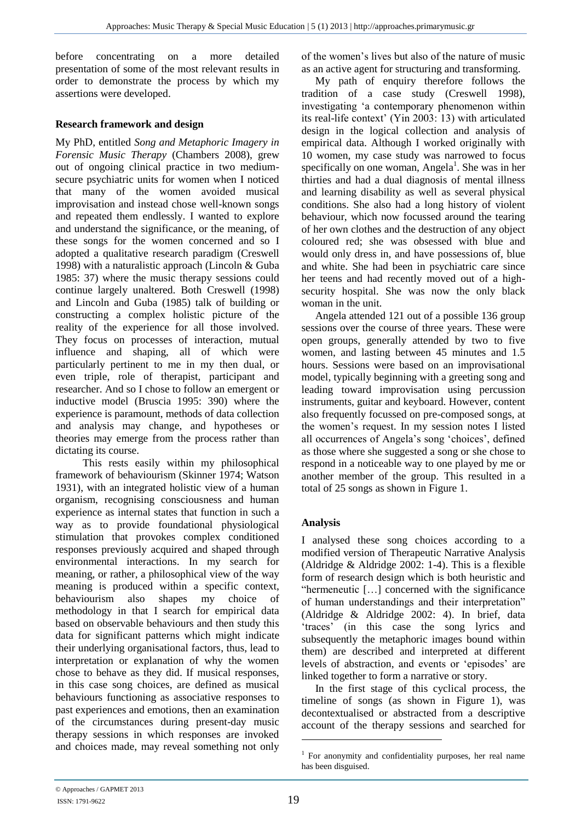before concentrating on a more detailed presentation of some of the most relevant results in order to demonstrate the process by which my assertions were developed.

## **Research framework and design**

My PhD, entitled *Song and Metaphoric Imagery in Forensic Music Therapy* (Chambers 2008), grew out of ongoing clinical practice in two mediumsecure psychiatric units for women when I noticed that many of the women avoided musical improvisation and instead chose well-known songs and repeated them endlessly. I wanted to explore and understand the significance, or the meaning, of these songs for the women concerned and so I adopted a qualitative research paradigm (Creswell 1998) with a naturalistic approach (Lincoln & Guba 1985: 37) where the music therapy sessions could continue largely unaltered. Both Creswell (1998) and Lincoln and Guba (1985) talk of building or constructing a complex holistic picture of the reality of the experience for all those involved. They focus on processes of interaction, mutual influence and shaping, all of which were particularly pertinent to me in my then dual, or even triple, role of therapist, participant and researcher. And so I chose to follow an emergent or inductive model (Bruscia 1995: 390) where the experience is paramount, methods of data collection and analysis may change, and hypotheses or theories may emerge from the process rather than dictating its course.

 This rests easily within my philosophical framework of behaviourism (Skinner 1974; Watson 1931), with an integrated holistic view of a human organism, recognising consciousness and human experience as internal states that function in such a way as to provide foundational physiological stimulation that provokes complex conditioned responses previously acquired and shaped through environmental interactions. In my search for meaning, or rather, a philosophical view of the way meaning is produced within a specific context, behaviourism also shapes my choice of methodology in that I search for empirical data based on observable behaviours and then study this data for significant patterns which might indicate their underlying organisational factors, thus, lead to interpretation or explanation of why the women chose to behave as they did. If musical responses, in this case song choices, are defined as musical behaviours functioning as associative responses to past experiences and emotions, then an examination of the circumstances during present-day music therapy sessions in which responses are invoked and choices made, may reveal something not only of the women's lives but also of the nature of music as an active agent for structuring and transforming.

My path of enquiry therefore follows the tradition of a case study (Creswell 1998), investigating 'a contemporary phenomenon within its real-life context' (Yin 2003: 13) with articulated design in the logical collection and analysis of empirical data. Although I worked originally with 10 women, my case study was narrowed to focus specifically on one woman, Angela<sup>1</sup>. She was in her thirties and had a dual diagnosis of mental illness and learning disability as well as several physical conditions. She also had a long history of violent behaviour, which now focussed around the tearing of her own clothes and the destruction of any object coloured red; she was obsessed with blue and would only dress in, and have possessions of, blue and white. She had been in psychiatric care since her teens and had recently moved out of a highsecurity hospital. She was now the only black woman in the unit.

Angela attended 121 out of a possible 136 group sessions over the course of three years. These were open groups, generally attended by two to five women, and lasting between 45 minutes and 1.5 hours. Sessions were based on an improvisational model, typically beginning with a greeting song and leading toward improvisation using percussion instruments, guitar and keyboard. However, content also frequently focussed on pre-composed songs, at the women's request. In my session notes I listed all occurrences of Angela's song 'choices', defined as those where she suggested a song or she chose to respond in a noticeable way to one played by me or another member of the group. This resulted in a total of 25 songs as shown in Figure 1.

## **Analysis**

I analysed these song choices according to a modified version of Therapeutic Narrative Analysis (Aldridge & Aldridge 2002: 1-4). This is a flexible form of research design which is both heuristic and "hermeneutic […] concerned with the significance of human understandings and their interpretation" (Aldridge & Aldridge 2002: 4). In brief, data 'traces' (in this case the song lyrics and subsequently the metaphoric images bound within them) are described and interpreted at different levels of abstraction, and events or 'episodes' are linked together to form a narrative or story.

In the first stage of this cyclical process, the timeline of songs (as shown in Figure 1), was decontextualised or abstracted from a descriptive account of the therapy sessions and searched for

<u>.</u>

<sup>&</sup>lt;sup>1</sup> For anonymity and confidentiality purposes, her real name has been disguised.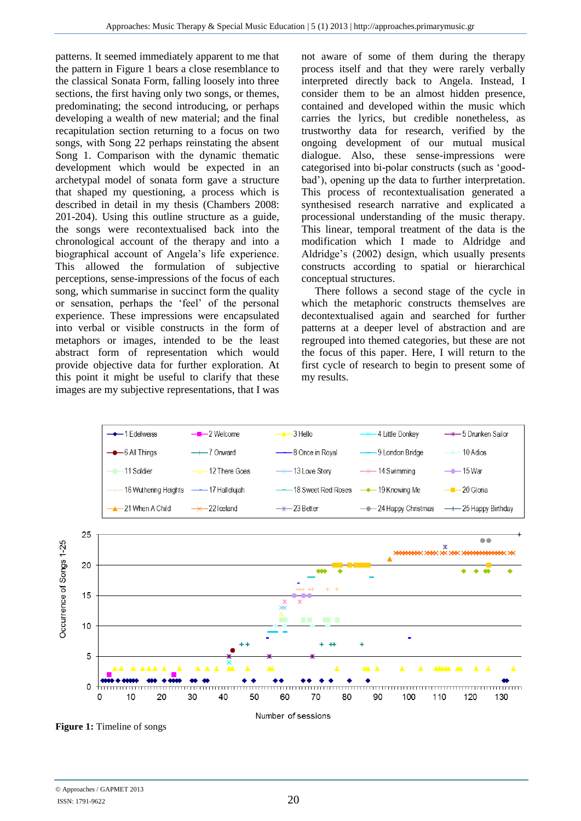patterns. It seemed immediately apparent to me that the pattern in Figure 1 bears a close resemblance to the classical Sonata Form, falling loosely into three sections, the first having only two songs, or themes, predominating; the second introducing, or perhaps developing a wealth of new material; and the final recapitulation section returning to a focus on two songs, with Song 22 perhaps reinstating the absent Song 1. Comparison with the dynamic thematic development which would be expected in an archetypal model of sonata form gave a structure that shaped my questioning, a process which is described in detail in my thesis (Chambers 2008: 201-204). Using this outline structure as a guide, the songs were recontextualised back into the chronological account of the therapy and into a biographical account of Angela's life experience. This allowed the formulation of subjective perceptions, sense-impressions of the focus of each song, which summarise in succinct form the quality or sensation, perhaps the 'feel' of the personal experience. These impressions were encapsulated into verbal or visible constructs in the form of metaphors or images, intended to be the least abstract form of representation which would provide objective data for further exploration. At this point it might be useful to clarify that these images are my subjective representations, that I was

not aware of some of them during the therapy process itself and that they were rarely verbally interpreted directly back to Angela. Instead, I consider them to be an almost hidden presence, contained and developed within the music which carries the lyrics, but credible nonetheless, as trustworthy data for research, verified by the ongoing development of our mutual musical dialogue. Also, these sense-impressions were categorised into bi-polar constructs (such as 'goodbad'), opening up the data to further interpretation. This process of recontextualisation generated a synthesised research narrative and explicated a processional understanding of the music therapy. This linear, temporal treatment of the data is the modification which I made to Aldridge and Aldridge's (2002) design, which usually presents constructs according to spatial or hierarchical conceptual structures.

 There follows a second stage of the cycle in which the metaphoric constructs themselves are decontextualised again and searched for further patterns at a deeper level of abstraction and are regrouped into themed categories, but these are not the focus of this paper. Here, I will return to the first cycle of research to begin to present some of my results.



**Figure 1:** Timeline of songs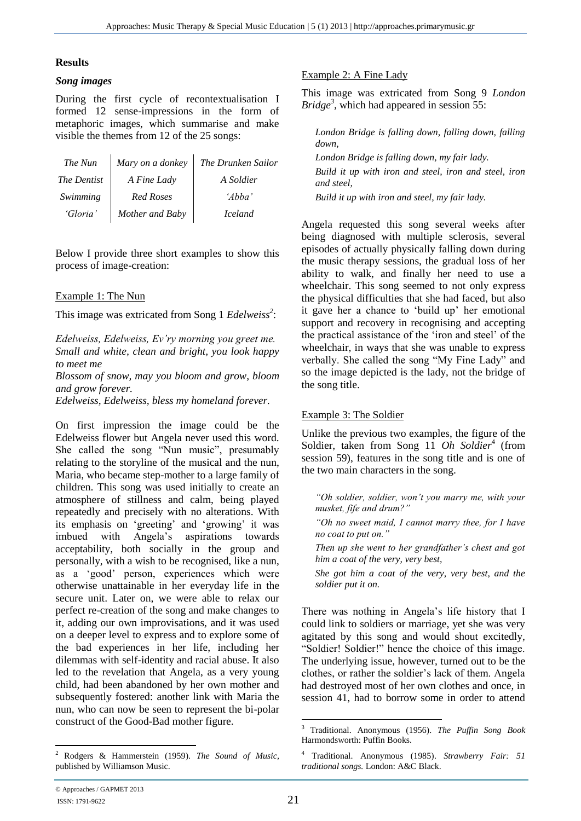#### **Results**

#### *Song images*

During the first cycle of recontextualisation I formed 12 sense-impressions in the form of metaphoric images, which summarise and make visible the themes from 12 of the 25 songs:

| The Nun     | Mary on a donkey | The Drunken Sailor |
|-------------|------------------|--------------------|
| The Dentist | A Fine Lady      | A Soldier          |
| Swimming    | <b>Red Roses</b> | 'Abba'             |
| 'Gloria'    | Mother and Baby  | <i>Iceland</i>     |

Below I provide three short examples to show this process of image-creation:

### Example 1: The Nun

This image was extricated from Song 1 *Edelweiss<sup>2</sup>* :

*Edelweiss, Edelweiss, Ev'ry morning you greet me. Small and white, clean and bright, you look happy to meet me*

*Blossom of snow, may you bloom and grow, bloom and grow forever.*

*Edelweiss, Edelweiss, bless my homeland forever.*

On first impression the image could be the Edelweiss flower but Angela never used this word. She called the song "Nun music", presumably relating to the storyline of the musical and the nun, Maria, who became step-mother to a large family of children. This song was used initially to create an atmosphere of stillness and calm, being played repeatedly and precisely with no alterations. With its emphasis on 'greeting' and 'growing' it was imbued with Angela's aspirations towards acceptability, both socially in the group and personally, with a wish to be recognised, like a nun, as a 'good' person, experiences which were otherwise unattainable in her everyday life in the secure unit. Later on, we were able to relax our perfect re-creation of the song and make changes to it, adding our own improvisations, and it was used on a deeper level to express and to explore some of the bad experiences in her life, including her dilemmas with self-identity and racial abuse. It also led to the revelation that Angela, as a very young child, had been abandoned by her own mother and subsequently fostered: another link with Maria the nun, who can now be seen to represent the bi-polar construct of the Good-Bad mother figure.

## Example 2: A Fine Lady

This image was extricated from Song 9 *London Bridge*<sup>3</sup>, which had appeared in session 55:

*London Bridge is falling down, falling down, falling down, London Bridge is falling down, my fair lady. Build it up with iron and steel, iron and steel, iron and steel, Build it up with iron and steel, my fair lady.* 

Angela requested this song several weeks after being diagnosed with multiple sclerosis, several episodes of actually physically falling down during the music therapy sessions, the gradual loss of her ability to walk, and finally her need to use a wheelchair. This song seemed to not only express the physical difficulties that she had faced, but also it gave her a chance to 'build up' her emotional support and recovery in recognising and accepting the practical assistance of the 'iron and steel' of the wheelchair, in ways that she was unable to express verbally. She called the song "My Fine Lady" and so the image depicted is the lady, not the bridge of the song title.

## Example 3: The Soldier

Unlike the previous two examples, the figure of the Soldier, taken from Song 11 Oh Soldier<sup>4</sup> (from session 59), features in the song title and is one of the two main characters in the song.

*"Oh soldier, soldier, won't you marry me, with your musket, fife and drum?"*

*"Oh no sweet maid, I cannot marry thee, for I have no coat to put on."*

*Then up she went to her grandfather's chest and got him a coat of the very, very best,*

*She got him a coat of the very, very best, and the soldier put it on.*

There was nothing in Angela's life history that I could link to soldiers or marriage, yet she was very agitated by this song and would shout excitedly, "Soldier! Soldier!" hence the choice of this image. The underlying issue, however, turned out to be the clothes, or rather the soldier's lack of them. Angela had destroyed most of her own clothes and once, in session 41, had to borrow some in order to attend

 $\overline{a}$ <sup>2</sup> Rodgers & Hammerstein (1959). *The Sound of Music,*  published by Williamson Music.

 $\overline{3}$ <sup>3</sup> Traditional. Anonymous (1956). *The Puffin Song Book*  Harmondsworth: Puffin Books.

<sup>4</sup> Traditional. Anonymous (1985). *Strawberry Fair: 51 traditional songs.* London: A&C Black.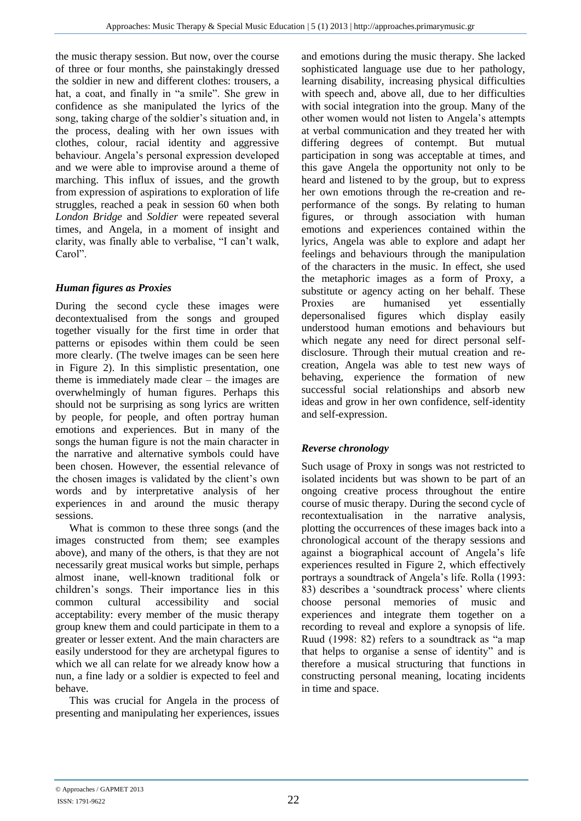the music therapy session. But now, over the course of three or four months, she painstakingly dressed the soldier in new and different clothes: trousers, a hat, a coat, and finally in "a smile". She grew in confidence as she manipulated the lyrics of the song, taking charge of the soldier's situation and, in the process, dealing with her own issues with clothes, colour, racial identity and aggressive behaviour. Angela's personal expression developed and we were able to improvise around a theme of marching. This influx of issues, and the growth from expression of aspirations to exploration of life struggles, reached a peak in session 60 when both *London Bridge* and *Soldier* were repeated several times, and Angela, in a moment of insight and clarity, was finally able to verbalise, "I can't walk, Carol".

## *Human figures as Proxies*

During the second cycle these images were decontextualised from the songs and grouped together visually for the first time in order that patterns or episodes within them could be seen more clearly. (The twelve images can be seen here in Figure 2). In this simplistic presentation, one theme is immediately made clear – the images are overwhelmingly of human figures. Perhaps this should not be surprising as song lyrics are written by people, for people, and often portray human emotions and experiences. But in many of the songs the human figure is not the main character in the narrative and alternative symbols could have been chosen. However, the essential relevance of the chosen images is validated by the client's own words and by interpretative analysis of her experiences in and around the music therapy sessions.

What is common to these three songs (and the images constructed from them; see examples above), and many of the others, is that they are not necessarily great musical works but simple, perhaps almost inane, well-known traditional folk or children's songs. Their importance lies in this common cultural accessibility and social acceptability: every member of the music therapy group knew them and could participate in them to a greater or lesser extent. And the main characters are easily understood for they are archetypal figures to which we all can relate for we already know how a nun, a fine lady or a soldier is expected to feel and behave.

This was crucial for Angela in the process of presenting and manipulating her experiences, issues

and emotions during the music therapy. She lacked sophisticated language use due to her pathology, learning disability, increasing physical difficulties with speech and, above all, due to her difficulties with social integration into the group. Many of the other women would not listen to Angela's attempts at verbal communication and they treated her with differing degrees of contempt. But mutual participation in song was acceptable at times, and this gave Angela the opportunity not only to be heard and listened to by the group, but to express her own emotions through the re-creation and reperformance of the songs. By relating to human figures, or through association with human emotions and experiences contained within the lyrics, Angela was able to explore and adapt her feelings and behaviours through the manipulation of the characters in the music. In effect, she used the metaphoric images as a form of Proxy, a substitute or agency acting on her behalf. These Proxies are humanised yet essentially depersonalised figures which display easily understood human emotions and behaviours but which negate any need for direct personal selfdisclosure. Through their mutual creation and recreation, Angela was able to test new ways of behaving, experience the formation of new successful social relationships and absorb new ideas and grow in her own confidence, self-identity and self-expression.

## *Reverse chronology*

Such usage of Proxy in songs was not restricted to isolated incidents but was shown to be part of an ongoing creative process throughout the entire course of music therapy. During the second cycle of recontextualisation in the narrative analysis, plotting the occurrences of these images back into a chronological account of the therapy sessions and against a biographical account of Angela's life experiences resulted in Figure 2, which effectively portrays a soundtrack of Angela's life. Rolla (1993: 83) describes a 'soundtrack process' where clients choose personal memories of music and experiences and integrate them together on a recording to reveal and explore a synopsis of life. Ruud (1998: 82) refers to a soundtrack as "a map that helps to organise a sense of identity" and is therefore a musical structuring that functions in constructing personal meaning, locating incidents in time and space.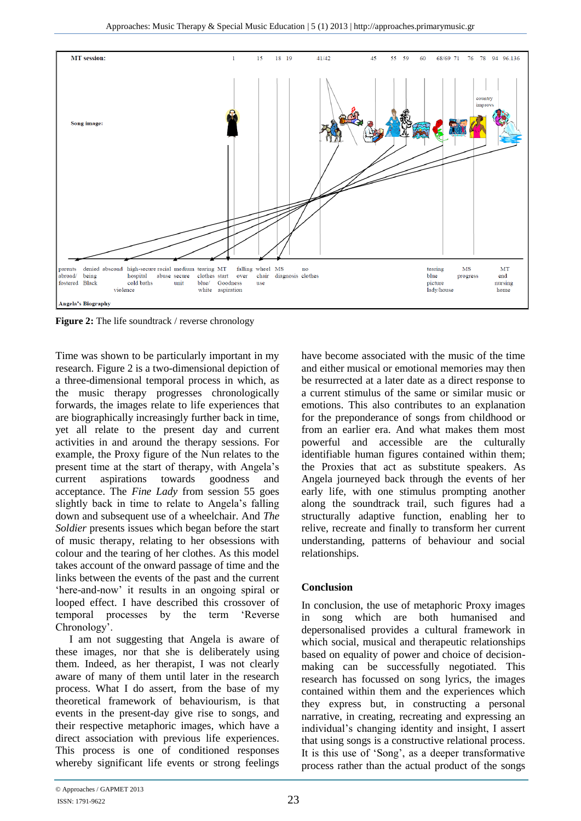

**Figure 2:** The life soundtrack / reverse chronology

Time was shown to be particularly important in my research. Figure 2 is a two-dimensional depiction of a three-dimensional temporal process in which, as the music therapy progresses chronologically forwards, the images relate to life experiences that are biographically increasingly further back in time, yet all relate to the present day and current activities in and around the therapy sessions. For example, the Proxy figure of the Nun relates to the present time at the start of therapy, with Angela's current aspirations towards goodness and acceptance. The *Fine Lady* from session 55 goes slightly back in time to relate to Angela's falling down and subsequent use of a wheelchair. And *The Soldier* presents issues which began before the start of music therapy, relating to her obsessions with colour and the tearing of her clothes. As this model takes account of the onward passage of time and the links between the events of the past and the current 'here-and-now' it results in an ongoing spiral or looped effect. I have described this crossover of temporal processes by the term 'Reverse Chronology'.

I am not suggesting that Angela is aware of these images, nor that she is deliberately using them. Indeed, as her therapist, I was not clearly aware of many of them until later in the research process. What I do assert, from the base of my theoretical framework of behaviourism, is that events in the present-day give rise to songs, and their respective metaphoric images, which have a direct association with previous life experiences. This process is one of conditioned responses whereby significant life events or strong feelings

have become associated with the music of the time and either musical or emotional memories may then be resurrected at a later date as a direct response to a current stimulus of the same or similar music or emotions. This also contributes to an explanation for the preponderance of songs from childhood or from an earlier era. And what makes them most powerful and accessible are the culturally identifiable human figures contained within them; the Proxies that act as substitute speakers. As Angela journeyed back through the events of her early life, with one stimulus prompting another along the soundtrack trail, such figures had a structurally adaptive function, enabling her to relive, recreate and finally to transform her current understanding, patterns of behaviour and social relationships.

## **Conclusion**

In conclusion, the use of metaphoric Proxy images in song which are both humanised and depersonalised provides a cultural framework in which social, musical and therapeutic relationships based on equality of power and choice of decisionmaking can be successfully negotiated. This research has focussed on song lyrics, the images contained within them and the experiences which they express but, in constructing a personal narrative, in creating, recreating and expressing an individual's changing identity and insight, I assert that using songs is a constructive relational process. It is this use of 'Song', as a deeper transformative process rather than the actual product of the songs